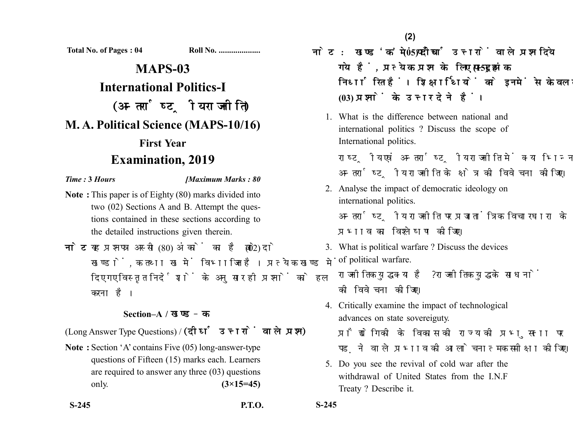**Total No. of Pages : 04 Roll No. ....................**

## **MAPS-03 International Politics-I** (अन्तर्राष्ट्रीय राजनीति) **M. A. Political Science (MAPS-10/16) First Year Examination, 2019**

## *Time :* **3** *Hours [Maximum Marks : 80*

- **Note :** This paper is of Eighty (80) marks divided into two (02) Sections A and B. Attempt the questions contained in these sections according to the detailed instructions given therein.
- नोट: यह प्रश्नपत्र अस्सी (80) अंकों का है जो दो (02) खण्डों. क तथा ख में विभाजित है। प्रत्येक खण्ड में दिए गए विस्तृत निर्देशों के अनुसार ही प्रश्नों को हल करना है।

## **Section–A /**

(Long Answer Type Questions) / (दीर्घ उत्तरों वाले प्रश्न)

**Note :** Section 'A' contains Five (05) long-answer-type questions of Fifteen (15) marks each. Learners are required to answer any three (03) questions only. **(3×15=45)**

**S-245 P.T.O. S-245**

**(2)**

- नोट: खण्ड'क' में पाँच (05) दीर्घ उत्तरों वाले प्रश्न दिये गये हैं, प्रत्येक प्रश्न के लिए पन्दह (15) अंक निर्धारित हैं। शिक्षार्थियों को इनमें से केवल तीन **(03)** 
	- 1. What is the difference between national and international politics ? Discuss the scope of International politics.

राष्टीय एवं अन्तर्राष्टीय राजनीति में क्या भिन्नता है? अन्तर्राष्टीय राजनीति के क्षेत्र की विवेचना कीजिए।

- 2. Analyse the impact of democratic ideology on international politics. अन्तर्राष्टीय राजनीति पर प्रजातांत्रिक विचारधारा के प्रभाव का विश्लेषण कीजिए।
- 3. What is political warfare ? Discuss the devices of political warfare. राजनीतिक युद्ध क्या है ? राजनीतिक युद्ध के साधनों को विवेचना कोजिए।
- 4. Critically examine the impact of technological advances on state sovereiguty. प्रौद्योगिकी के विकास की राज्य की प्रभुसत्ता पर पडने वाले प्रभाव की आलोचनात्मक समीक्षा कोजिए।
- 5. Do you see the revival of cold war after the withdrawal of United States from the I.N.F Treaty ? Describe it.